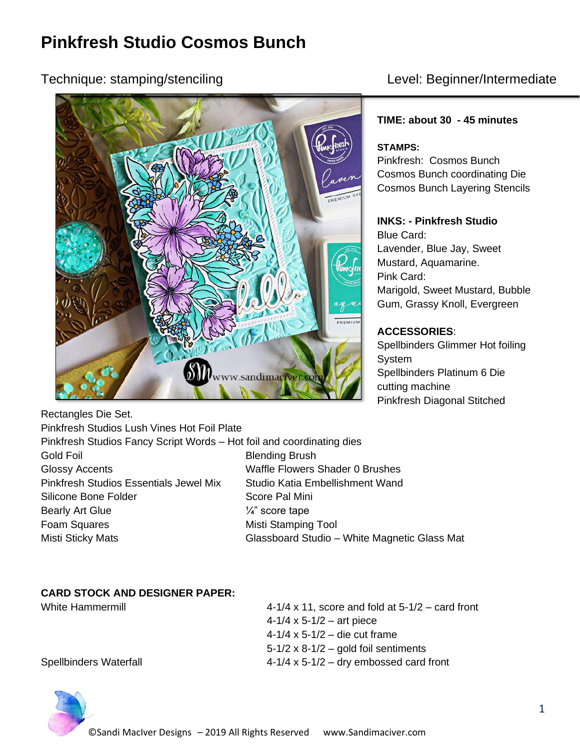# **Pinkfresh Studio Cosmos Bunch**

## Technique: stamping/stenciling Level: Beginner/Intermediate



#### **TIME: about 30 - 45 minutes**

#### **STAMPS:**

Pinkfresh: Cosmos Bunch Cosmos Bunch coordinating Die Cosmos Bunch Layering Stencils

#### **INKS: - Pinkfresh Studio**

Blue Card: Lavender, Blue Jay, Sweet Mustard, Aquamarine. Pink Card: Marigold, Sweet Mustard, Bubble Gum, Grassy Knoll, Evergreen

#### **ACCESSORIES**:

Spellbinders Glimmer Hot foiling System Spellbinders Platinum 6 Die cutting machine Pinkfresh Diagonal Stitched

Rectangles Die Set.

Pinkfresh Studios Lush Vines Hot Foil Plate Pinkfresh Studios Fancy Script Words – Hot foil and coordinating dies Gold Foil **Blending Brush** Glossy Accents Waffle Flowers Shader 0 Brushes Pinkfresh Studios Essentials Jewel Mix Studio Katia Embellishment Wand Silicone Bone Folder Score Pal Mini Bearly Art Glue  $\frac{1}{4}$  score tape Foam Squares **Misti Stamping Tool** Misti Sticky Mats **Misti Sticky Mats** Glassboard Studio – White Magnetic Glass Mat

#### **CARD STOCK AND DESIGNER PAPER:**

White Hammermill **4-1/4 x 11**, score and fold at 5-1/2 – card front  $4-1/4 \times 5-1/2 -$  art piece 4-1/4 x 5-1/2 – die cut frame  $5-1/2 \times 8-1/2$  – gold foil sentiments Spellbinders Waterfall 4-1/4 x 5-1/2 – dry embossed card front